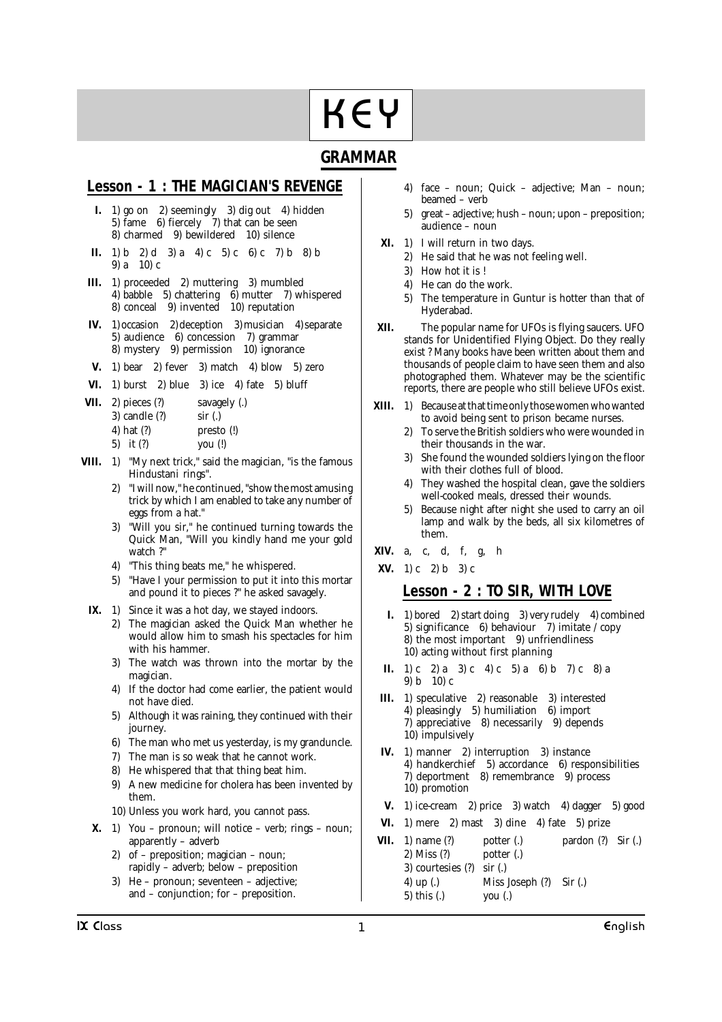# KEY KEY

# **GRAMMAR**

# **Lesson - 1 : THE MAGICIAN'S REVENGE**

- **I.** 1) go on 2) seemingly 3) dig out 4) hidden 5) fame 6) fiercely 7) that can be seen 8) charmed 9) bewildered 10) silence
- **II.** 1) b 2) d 3) a 4) c 5) c 6) c 7) b 8) b 9) a 10) c
- **III.** 1) proceeded 2) muttering 3) mumbled 4) babble 5) chattering 6) mutter 7) whispered 8) conceal 9) invented 10) reputation
- **IV.** 1) occasion 2) deception 3) musician 4) separate 5) audience 6) concession 7) grammar 8) mystery 9) permission 10) ignorance
- **V.** 1) bear 2) fever 3) match 4) blow 5) zero
- **VI.** 1) burst 2) blue 3) ice 4) fate 5) bluff
- **VII.** 2) pieces (?) savagely (.)
	- 3) candle (?) sir (.)
		- 4) hat (?) presto (!)
		- 5) it (?) you (!)
- **VIII.** 1) "My next trick," said the magician, "is the famous Hindustani rings".
	- 2) "I will now," he continued, "show the most amusing trick by which I am enabled to take any number of eggs from a hat."
	- "Will you sir," he continued turning towards the Quick Man, "Will you kindly hand me your gold watch ?"
	- 4) "This thing beats me," he whispered.
	- 5) "Have I your permission to put it into this mortar and pound it to pieces ?" he asked savagely.
	- **IX.** 1) Since it was a hot day, we stayed indoors.
		- 2) The magician asked the Quick Man whether he would allow him to smash his spectacles for him with his hammer.
		- 3) The watch was thrown into the mortar by the magician.
		- 4) If the doctor had come earlier, the patient would not have died.
		- 5) Although it was raining, they continued with their journey.
		- 6) The man who met us yesterday, is my granduncle.
		- 7) The man is so weak that he cannot work.
		- 8) He whispered that that thing beat him.
		- 9) A new medicine for cholera has been invented by them.
		- 10) Unless you work hard, you cannot pass.
	- **X.** 1) You pronoun; will notice verb; rings noun; apparently – adverb
		- 2) of preposition; magician noun; rapidly – adverb; below – preposition
		- 3) He pronoun; seventeen adjective; and – conjunction; for – preposition.
- 4) face noun; Quick adjective; Man noun; beamed – verb
- 5) great adjective; hush noun; upon preposition; audience – noun
- **XI.** 1) I will return in two days.
	- 2) He said that he was not feeling well.
	- 3) How hot it is !
	- 4) He can do the work.
	- 5) The temperature in Guntur is hotter than that of Hyderabad.
- **XII.** The popular name for UFOs is flying saucers. UFO stands for Unidentified Flying Object. Do they really exist ? Many books have been written about them and thousands of people claim to have seen them and also photographed them. Whatever may be the scientific reports, there are people who still believe UFOs exist.
- **XIII.** 1) Because at that time only those women who wanted to avoid being sent to prison became nurses.
	- 2) To serve the British soldiers who were wounded in their thousands in the war.
	- 3) She found the wounded soldiers lying on the floor with their clothes full of blood.
	- They washed the hospital clean, gave the soldiers well-cooked meals, dressed their wounds.
	- 5) Because night after night she used to carry an oil lamp and walk by the beds, all six kilometres of them.
- **XIV.** a, c, d, f, g, h

**XV.** 1) c 2) b 3) c

# **Lesson - 2 : TO SIR, WITH LOVE**

- **I.** 1) bored 2) start doing 3) very rudely 4) combined 5) significance 6) behaviour  $\frac{7}{2}$  imitate / copy 8) the most important 9) unfriendliness 10) acting without first planning
- **II.** 1) c 2) a 3) c 4) c 5) a 6) b 7) c 8) a 9) b 10) c
- **III.** 1) speculative 2) reasonable 3) interested 4) pleasingly 5) humiliation 6) import 7) appreciative 8) necessarily 9) depends 10) impulsively
- **IV.** 1) manner 2) interruption 3) instance 4) handkerchief 5) accordance 6) responsibilities 7) deportment 8) remembrance 9) process 10) promotion
- **V.** 1) ice-cream 2) price 3) watch 4) dagger 5) good
- **VI.** 1) mere 2) mast 3) dine 4) fate 5) prize
- **VII.** 1) name (?) potter (.) pardon (?) Sir (.) 2) Miss (?) potter (.) 3) courtesies (?) sir (.) 4) up (.) Miss Joseph (?) Sir (.) 5) this (.) you (.)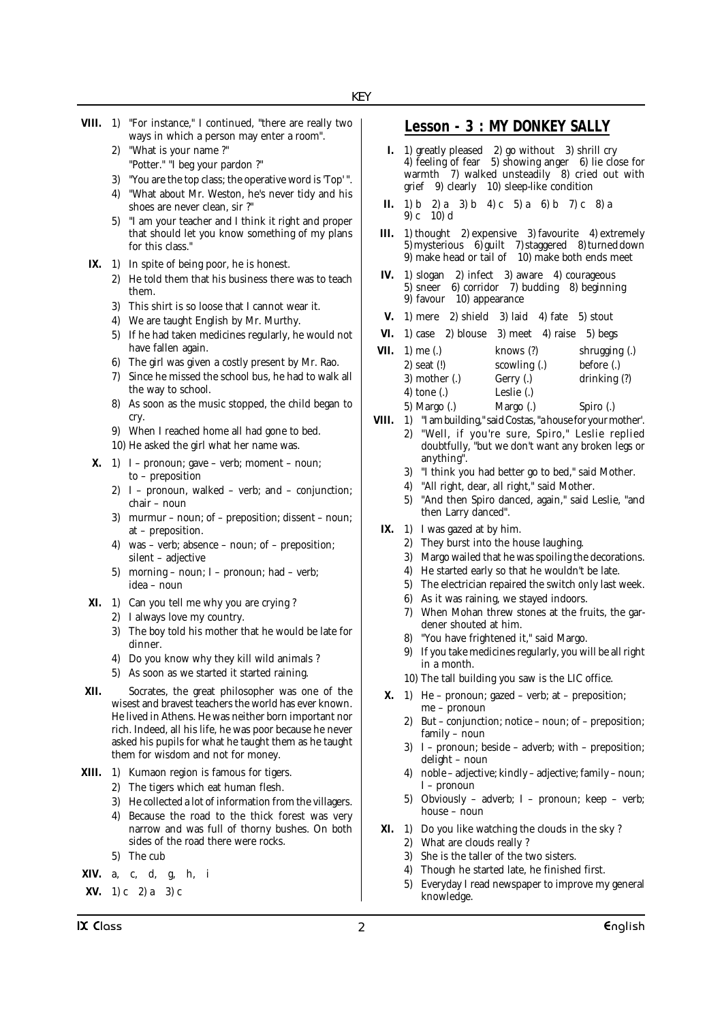- **VIII.** 1) "For instance," I continued, "there are really two ways in which a person may enter a room".
	- 2) "What is your name ?" "Potter." "I beg your pardon ?"
	- 3) "You are the top class; the operative word is 'Top' ".
	- 4) "What about Mr. Weston, he's never tidy and his shoes are never clean, sir ?"
	- 5) "I am your teacher and I think it right and proper that should let you know something of my plans for this class."
- **IX.** 1) In spite of being poor, he is honest.
	- 2) He told them that his business there was to teach them.
	- 3) This shirt is so loose that I cannot wear it.
	- 4) We are taught English by Mr. Murthy.
	- 5) If he had taken medicines regularly, he would not have fallen again.
	- 6) The girl was given a costly present by Mr. Rao.
	- 7) Since he missed the school bus, he had to walk all the way to school.
	- 8) As soon as the music stopped, the child began to cry.
	- 9) When I reached home all had gone to bed.
	- 10) He asked the girl what her name was.
- **X.** 1) I pronoun; gave verb; moment noun; to – preposition
	- 2) I pronoun, walked verb; and conjunction; chair – noun
	- 3) murmur noun; of preposition; dissent noun; at – preposition.
	- 4) was verb; absence noun; of preposition; silent – adjective
	- 5) morning noun; I pronoun; had verb; idea – noun
- **XI.** 1) Can you tell me why you are crying ?
	- 2) I always love my country.
	- 3) The boy told his mother that he would be late for dinner.
	- 4) Do you know why they kill wild animals ?
	- 5) As soon as we started it started raining.
- **XII.** Socrates, the great philosopher was one of the wisest and bravest teachers the world has ever known. He lived in Athens. He was neither born important nor rich. Indeed, all his life, he was poor because he never asked his pupils for what he taught them as he taught them for wisdom and not for money.
- **XIII.** 1) Kumaon region is famous for tigers.
	- 2) The tigers which eat human flesh.
	- 3) He collected a lot of information from the villagers.
	- 4) Because the road to the thick forest was very narrow and was full of thorny bushes. On both sides of the road there were rocks.
	- 5) The cub
- **XIV.** a, c, d, g, h, i
- **XV.** 1) c 2) a 3) c

## **Lesson - 3 : MY DONKEY SALLY**

- **I.** 1) greatly pleased 2) go without 3) shrill cry 4) feeling of fear 5) showing anger 6) lie close for warmth  $\frac{7}{2}$  walked unsteadily  $\frac{8}{2}$  cried out with grief 9) clearly 10) sleep-like condition
- **II.** 1) b 2) a 3) b 4) c 5) a 6) b 7) c 8) a 9) c 10) d
- **III.** 1) thought 2) expensive 3) favourite 4) extremely 5) mysterious 6) guilt 7) staggered 8) turned down 9) make head or tail of 10) make both ends meet
- **IV.** 1) slogan 2) infect 3) aware 4) courageous 5) sneer 6) corridor 7) budding 8) beginning 9) favour 10) appearance
- **V.** 1) mere 2) shield 3) laid 4) fate 5) stout
- **VI.** 1) case 2) blouse 3) meet 4) raise 5) begs
- **VII.** 1) me (.) knows (?) shrugging (.) 2) seat (!) scowling (.) before (.) 3) mother (.) Gerry (.) drinking (?) 4) tone (.) Leslie (.) 5) Margo (.) Margo (.) Spiro (.)
- VIII. 1) "I am building," said Costas, "a house for your mother'.
	- 2) "Well, if you're sure, Spiro," Leslie replied doubtfully, "but we don't want any broken legs or anything".
		- 3) "I think you had better go to bed," said Mother.
		- 4) "All right, dear, all right," said Mother.
		- 5) "And then Spiro danced, again," said Leslie, "and then Larry danced".
- **IX.** 1) I was gazed at by him.
	- 2) They burst into the house laughing.
	- 3) Margo wailed that he was spoiling the decorations.
	- 4) He started early so that he wouldn't be late.
	- 5) The electrician repaired the switch only last week.
	- 6) As it was raining, we stayed indoors.
	- 7) When Mohan threw stones at the fruits, the gardener shouted at him.
	- 8) "You have frightened it," said Margo.
	- 9) If you take medicines regularly, you will be all right in a month.
	- 10) The tall building you saw is the LIC office.
- **X.** 1) He pronoun; gazed verb; at preposition; me – pronoun
	- 2) But conjunction; notice noun; of preposition; family – noun
	- 3) I pronoun; beside adverb; with preposition; delight – noun
	- 4) noble adjective; kindly adjective; family noun; I – pronoun
	- 5) Obviously adverb; I pronoun; keep verb; house – noun
- **XI.** 1) Do you like watching the clouds in the sky ?
	- 2) What are clouds really ?
	- 3) She is the taller of the two sisters.
	- 4) Though he started late, he finished first.
	- 5) Everyday I read newspaper to improve my general knowledge.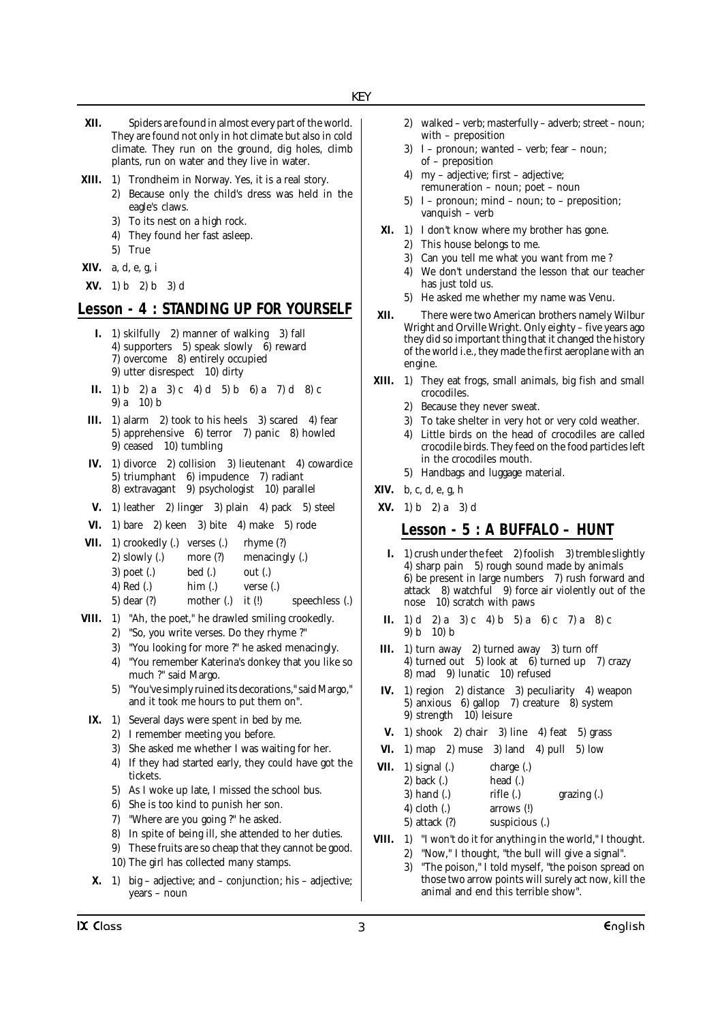- **XII.** Spiders are found in almost every part of the world. They are found not only in hot climate but also in cold climate. They run on the ground, dig holes, climb plants, run on water and they live in water.
- **XIII.** 1) Trondheim in Norway. Yes, it is a real story.
	- 2) Because only the child's dress was held in the eagle's claws.
		- 3) To its nest on a high rock.
		- 4) They found her fast asleep.
		- 5) True
- **XIV.** a, d, e, g, i
- **XV.** 1) b 2) b 3) d

## **Lesson - 4 : STANDING UP FOR YOURSELF**

- **I.** 1) skilfully 2) manner of walking 3) fall 4) supporters 5) speak slowly 6) reward 7) overcome 8) entirely occupied 9) utter disrespect 10) dirty
- **II.** 1) b 2) a 3) c 4) d 5) b 6) a 7) d 8) c 9) a 10) b
- **III.** 1) alarm 2) took to his heels 3) scared 4) fear 5) apprehensive 6) terror 7) panic 8) howled 9) ceased 10) tumbling
- **IV.** 1) divorce 2) collision 3) lieutenant 4) cowardice 5) triumphant 6) impudence 7) radiant 8) extravagant 9) psychologist 10) parallel
- **V.** 1) leather 2) linger 3) plain 4) pack 5) steel
- **VI.** 1) bare 2) keen 3) bite 4) make 5) rode
- **VII.** 1) crookedly (.) verses (.) rhyme (?) 2) slowly (.) more (?) menacingly (.) 3) poet (.) bed (.) out (.) 4) Red (.) him (.) verse (.) 5) dear (?) mother (.) it (!) speechless (.)
- **VIII.** 1) "Ah, the poet," he drawled smiling crookedly. 2) "So, you write verses. Do they rhyme ?"
	- 3) "You looking for more ?" he asked menacingly.
	- 4) "You remember Katerina's donkey that you like so much ?" said Margo.
	- 5) "You've simply ruined its decorations," said Margo," and it took me hours to put them on".
- **IX.** 1) Several days were spent in bed by me.
	- 2) I remember meeting you before.
	- 3) She asked me whether I was waiting for her.
	- 4) If they had started early, they could have got the tickets.
	- 5) As I woke up late, I missed the school bus.
	- 6) She is too kind to punish her son.
	- 7) "Where are you going ?" he asked.
	- 8) In spite of being ill, she attended to her duties.
	- 9) These fruits are so cheap that they cannot be good. 10) The girl has collected many stamps.
	-
- **X.** 1) big adjective; and conjunction; his adjective; years – noun
- 2) walked verb; masterfully adverb; street noun; with – preposition
- 3) I pronoun; wanted verb; fear noun; of – preposition
- 4) my adjective; first adjective; remuneration – noun; poet – noun
- 5) I pronoun; mind noun; to preposition; vanquish – verb
- **XI.** 1) I don't know where my brother has gone.
	- 2) This house belongs to me.
	- 3) Can you tell me what you want from me ?
	- 4) We don't understand the lesson that our teacher has just told us.
	- 5) He asked me whether my name was Venu.
- **XII.** There were two American brothers namely Wilbur Wright and Orville Wright. Only eighty – five years ago they did so important thing that it changed the history of the world i.e., they made the first aeroplane with an engine.
- **XIII.** 1) They eat frogs, small animals, big fish and small crocodiles.
	- 2) Because they never sweat.
	- 3) To take shelter in very hot or very cold weather.
	- 4) Little birds on the head of crocodiles are called crocodile birds. They feed on the food particles left in the crocodiles mouth.
	- 5) Handbags and luggage material.
- **XIV.** b, c, d, e, g, h
- **XV.** 1) b 2) a 3) d

## **Lesson - 5 : A BUFFALO – HUNT**

- **I.** 1) crush under the feet 2) foolish 3) tremble slightly 4) sharp pain 5) rough sound made by animals 6) be present in large numbers 7) rush forward and attack 8) watchful 9) force air violently out of the nose 10) scratch with paws
- **II.** 1) d 2) a 3) c 4) b 5) a 6) c 7) a 8) c 9) b 10) b
- **III.** 1) turn away 2) turned away 3) turn off 4) turned out 5) look at 6) turned up 7) crazy 8) mad 9) lunatic 10) refused
- **IV.** 1) region 2) distance 3) peculiarity 4) weapon 5) anxious 6) gallop 7) creature 8) system 9) strength 10) leisure
- **V.** 1) shook 2) chair 3) line 4) feat 5) grass
- **VI.** 1) map 2) muse 3) land 4) pull 5) low
- **VII.** 1) signal (.) charge (.) 2) back (.) head (.) 3) hand (.) rifle (.) grazing (.) 4) cloth (.) arrows (!) 5) attack (?) suspicious (.)
- **VIII.** 1) "I won't do it for anything in the world," I thought.
	- 2) "Now," I thought, "the bull will give a signal".
	- 3) "The poison," I told myself, "the poison spread on those two arrow points will surely act now, kill the animal and end this terrible show".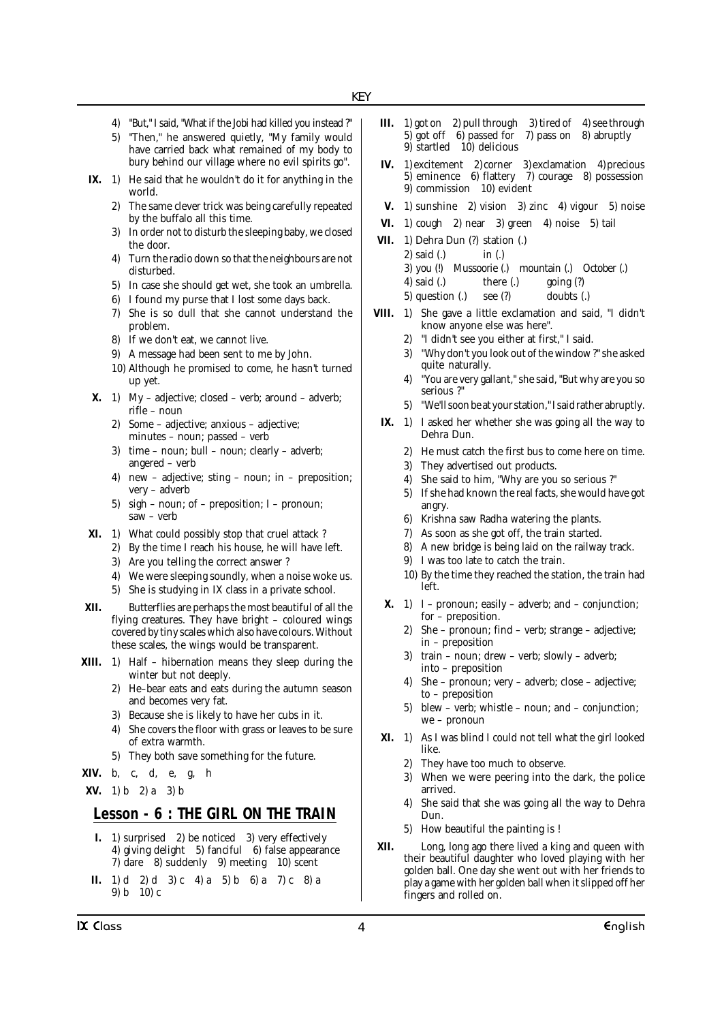- 4) "But," I said, "What if the Jobi had killed you instead ?"
- 5) "Then," he answered quietly, "My family would have carried back what remained of my body to bury behind our village where no evil spirits go".
- **IX.** 1) He said that he wouldn't do it for anything in the world.
	- 2) The same clever trick was being carefully repeated by the buffalo all this time.
	- 3) In order not to disturb the sleeping baby, we closed the door.
	- 4) Turn the radio down so that the neighbours are not disturbed.
	- 5) In case she should get wet, she took an umbrella.
	- 6) I found my purse that I lost some days back.
	- 7) She is so dull that she cannot understand the problem.
	- 8) If we don't eat, we cannot live.
	- 9) A message had been sent to me by John.
	- 10) Although he promised to come, he hasn't turned up yet.
- **X.** 1) My adjective; closed verb; around adverb; rifle – noun
	- 2) Some adjective; anxious adjective; minutes – noun; passed – verb
	- 3) time noun; bull noun; clearly adverb; angered – verb
	- 4) new adjective; sting noun; in preposition; very – adverb
	- 5) sigh noun; of preposition; I pronoun; saw – verb
- **XI.** 1) What could possibly stop that cruel attack ?
	- 2) By the time I reach his house, he will have left.
	- 3) Are you telling the correct answer ?
	- 4) We were sleeping soundly, when a noise woke us.
	- 5) She is studying in IX class in a private school.
- **XII.** Butterflies are perhaps the most beautiful of all the flying creatures. They have bright – coloured wings covered by tiny scales which also have colours. Without these scales, the wings would be transparent.
- **XIII.** 1) Half hibernation means they sleep during the winter but not deeply.
	- 2) He–bear eats and eats during the autumn season and becomes very fat.
	- 3) Because she is likely to have her cubs in it.
	- 4) She covers the floor with grass or leaves to be sure of extra warmth.
	- 5) They both save something for the future.
- **XIV.** b, c, d, e, g, h
- **XV.** 1) b 2) a 3) b

## **Lesson - 6 : THE GIRL ON THE TRAIN**

- **I.** 1) surprised 2) be noticed 3) very effectively 4) giving delight 5) fanciful 6) false appearance  $7)$  dare  $8)$  suddenly  $9)$  meeting  $10)$  scent
- **II.** 1) d 2) d 3) c 4) a 5) b 6) a 7) c 8) a 9) b 10) c
- **III.** 1) got on 2) pull through 3) tired of 4) see through 5) got off 6) passed for 7) pass on 8) abruptly 9) startled 10) delicious
- **IV.** 1) excitement 2) corner 3) exclamation 4) precious 5) eminence 6) flattery 7) courage 8) possession 9) commission 10) evident
- **V.** 1) sunshine 2) vision 3) zinc 4) vigour 5) noise
- **VI.** 1) cough 2) near 3) green 4) noise 5) tail
- **VII.** 1) Dehra Dun (?) station (.)
	- 2) said (.) in (.)
	- 3) you (!) Mussoorie (.) mountain (.) October (.)
	- 4) said (.) there (.) going (?)
	- 5) question (.) see (?) doubts (.)
- **VIII.** 1) She gave a little exclamation and said, "I didn't know anyone else was here".
	- "I didn't see you either at first," I said.
	- 3) "Why don't you look out of the window ?" she asked quite naturally.
	- 4) "You are very gallant," she said, "But why are you so serious ?"
	- 5) "We'll soon be at your station," I said rather abruptly.
	- **IX.** 1) I asked her whether she was going all the way to Dehra Dun.
		- 2) He must catch the first bus to come here on time.
		- 3) They advertised out products.
		- 4) She said to him, "Why are you so serious ?"
		- 5) If she had known the real facts, she would have got angry.
		- 6) Krishna saw Radha watering the plants.
		- 7) As soon as she got off, the train started.
		- 8) A new bridge is being laid on the railway track.
		- 9) I was too late to catch the train.
		- 10) By the time they reached the station, the train had left.
	- **X.** 1) I pronoun; easily adverb; and conjunction; for – preposition.
		- 2) She pronoun; find verb; strange adjective; in – preposition
		- 3) train noun; drew verb; slowly adverb; into – preposition
		- 4) She pronoun; very adverb; close adjective; to – preposition
		- 5) blew verb; whistle noun; and conjunction; we – pronoun
- **XI.** 1) As I was blind I could not tell what the girl looked like.
	- 2) They have too much to observe.
	- 3) When we were peering into the dark, the police arrived.
	- 4) She said that she was going all the way to Dehra Dun.
	- 5) How beautiful the painting is !
- **XII.** Long, long ago there lived a king and queen with their beautiful daughter who loved playing with her golden ball. One day she went out with her friends to play a game with her golden ball when it slipped off her fingers and rolled on.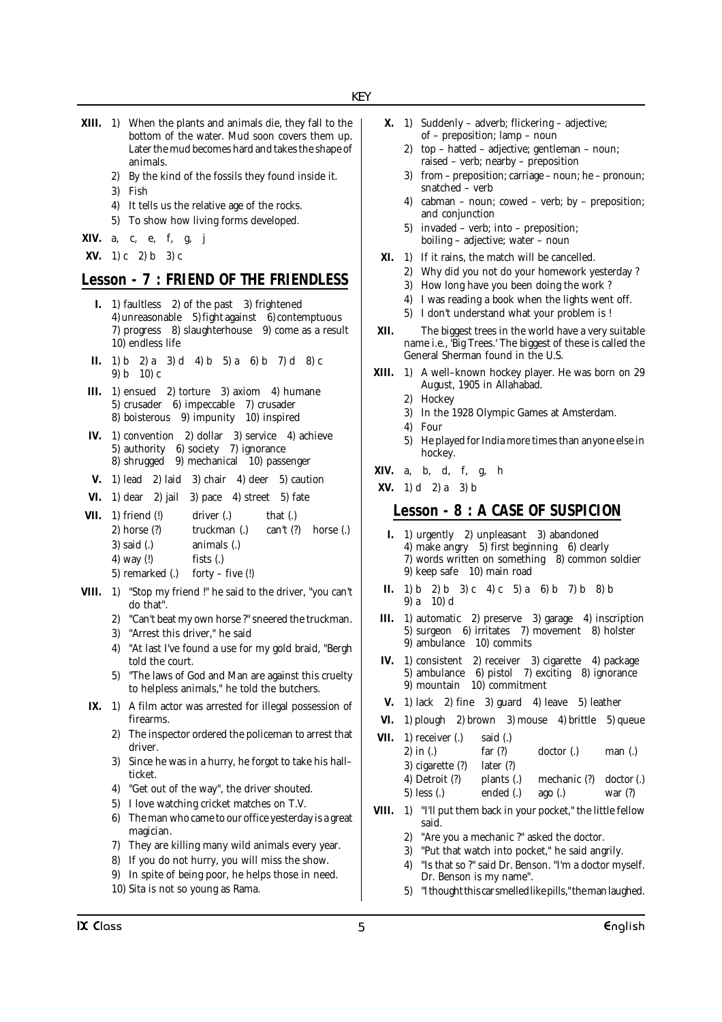- **XIII.** 1) When the plants and animals die, they fall to the bottom of the water. Mud soon covers them up. Later the mud becomes hard and takes the shape of animals.
	- 2) By the kind of the fossils they found inside it.
	- 3) Fish
	- 4) It tells us the relative age of the rocks.
	- 5) To show how living forms developed.

**XIV.** a, c, e, f, g, j

**XV.** 1) c 2) b 3) c

#### **Lesson - 7 : FRIEND OF THE FRIENDLESS**

- **I.** 1) faultless 2) of the past 3) frightened 4) unreasonable 5) fight against 6) contemptuous 7) progress 8) slaughterhouse 9) come as a result 10) endless life
- **II.** 1) b 2) a 3) d 4) b 5) a 6) b 7) d 8) c 9) b 10) c
- **III.** 1) ensued 2) torture 3) axiom 4) humane 5) crusader 6) impeccable 7) crusader 8) boisterous 9) impunity 10) inspired
- **IV.** 1) convention 2) dollar 3) service 4) achieve 5) authority 6) society 7) ignorance 8) shrugged 9) mechanical 10) passenger
- **V.** 1) lead 2) laid 3) chair 4) deer 5) caution
- **VI.** 1) dear 2) jail 3) pace 4) street 5) fate
- **VII.** 1) friend (!) driver (.) that (.) 2) horse (?) truckman (.) can't (?) horse (.) 3) said (.) animals (.) 4) way (!) fists (.) 5) remarked (.) forty – five (!)
- **VIII.** 1) "Stop my friend !" he said to the driver, "you can't do that".
	- 2) "Can't beat my own horse ?" sneered the truckman.
	- 3) "Arrest this driver," he said
	- 4) "At last I've found a use for my gold braid, "Bergh told the court.
	- 5) "The laws of God and Man are against this cruelty to helpless animals," he told the butchers.
- **IX.** 1) A film actor was arrested for illegal possession of firearms.
	- 2) The inspector ordered the policeman to arrest that driver.
	- 3) Since he was in a hurry, he forgot to take his hall– ticket.
	- 4) "Get out of the way", the driver shouted.
	- 5) I love watching cricket matches on T.V.
	- 6) The man who came to our office yesterday is a great magician.
	- 7) They are killing many wild animals every year.
	- 8) If you do not hurry, you will miss the show.

10) Sita is not so young as Rama.

9) In spite of being poor, he helps those in need.

- **X.** 1) Suddenly adverb; flickering adjective;
	- of preposition; lamp noun 2) top – hatted – adjective; gentleman – noun; raised – verb; nearby – preposition
	- 3) from preposition; carriage noun; he pronoun; snatched – verb
	- 4) cabman noun; cowed verb; by preposition; and conjunction
	- 5) invaded verb; into preposition; boiling – adjective; water – noun
- **XI.** 1) If it rains, the match will be cancelled.
	- 2) Why did you not do your homework yesterday ?
	- 3) How long have you been doing the work ?
	- 4) I was reading a book when the lights went off.
	- 5) I don't understand what your problem is !
- **XII.** The biggest trees in the world have a very suitable name i.e., 'Big Trees.' The biggest of these is called the General Sherman found in the U.S.
- **XIII.** 1) A well–known hockey player. He was born on 29 August, 1905 in Allahabad.
	- 2) Hockey
	- 3) In the 1928 Olympic Games at Amsterdam.
	- 4) Four
	- 5) He played for India more times than anyone else in hockey.
- **XIV.** a, b, d, f, g, h
- **XV.** 1) d 2) a 3) b

## **Lesson - 8 : A CASE OF SUSPICION**

- **I.** 1) urgently 2) unpleasant 3) abandoned 4) make angry 5) first beginning 6) clearly 7) words written on something 8) common soldier 9) keep safe 10) main road
- **II.** 1) b 2) b 3) c 4) c 5) a 6) b 7) b 8) b 9) a 10) d
- **III.** 1) automatic 2) preserve 3) garage 4) inscription 5) surgeon 6) irritates 7) movement 8) holster 9) ambulance 10) commits
- **IV.** 1) consistent 2) receiver 3) cigarette 4) package 5) ambulance 6) pistol 7) exciting 8) ignorance 9) mountain 10) commitment
- **V.** 1) lack 2) fine 3) guard 4) leave 5) leather
- **VI.** 1) plough 2) brown 3) mouse 4) brittle 5) queue **VII.** 1) receiver (.) said (.) 2) in (.) far (?) doctor (.) man (.)
	- 3) cigarette (?) later (?) 4) Detroit (?) plants (.) mechanic (?) doctor (.) 5) less (.) ended (.) ago (.) war (?)
- **VIII.** 1) "I'll put them back in your pocket," the little fellow said.
	- "Are you a mechanic ?" asked the doctor.
	- 3) "Put that watch into pocket," he said angrily.
	- 4) "Is that so ?" said Dr. Benson. "I'm a doctor myself. Dr. Benson is my name".
	- 5) "I thought this car smelled like pills," the man laughed.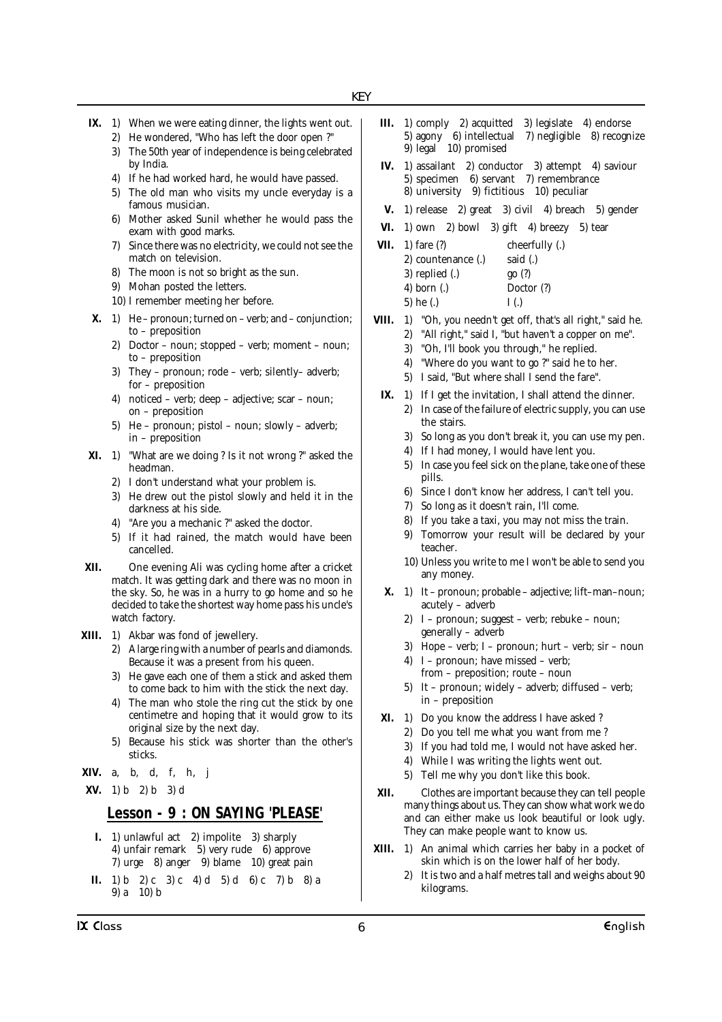- **IX.** 1) When we were eating dinner, the lights went out.
	- 2) He wondered, "Who has left the door open ?" 3) The 50th year of independence is being celebrated
	- by India.
	- 4) If he had worked hard, he would have passed.
	- 5) The old man who visits my uncle everyday is a famous musician.
	- 6) Mother asked Sunil whether he would pass the exam with good marks.
	- 7) Since there was no electricity, we could not see the match on television.
	- 8) The moon is not so bright as the sun.
	- 9) Mohan posted the letters.
	- 10) I remember meeting her before.
- **X.** 1) He pronoun; turned on verb; and conjunction; to – preposition
	- 2) Doctor noun; stopped verb; moment noun; to – preposition
	- 3) They pronoun; rode verb; silently– adverb; for – preposition
	- 4) noticed verb; deep adjective; scar noun; on – preposition
	- 5) He pronoun; pistol noun; slowly adverb; in – preposition
- **XI.** 1) "What are we doing ? Is it not wrong ?" asked the headman.
	- 2) I don't understand what your problem is.
	- 3) He drew out the pistol slowly and held it in the darkness at his side.
	- 4) "Are you a mechanic ?" asked the doctor.
	- 5) If it had rained, the match would have been cancelled.
- **XII.** One evening Ali was cycling home after a cricket match. It was getting dark and there was no moon in the sky. So, he was in a hurry to go home and so he decided to take the shortest way home pass his uncle's watch factory.
- **XIII.** 1) Akbar was fond of jewellery.
	- 2) A large ring with a number of pearls and diamonds. Because it was a present from his queen.
	- 3) He gave each one of them a stick and asked them to come back to him with the stick the next day.
	- 4) The man who stole the ring cut the stick by one centimetre and hoping that it would grow to its original size by the next day.
	- 5) Because his stick was shorter than the other's sticks.
- **XIV.** a, b, d, f, h, j
- **XV.** 1) b 2) b 3) d

# **Lesson - 9 : ON SAYING 'PLEASE'**

- **I.** 1) unlawful act 2) impolite 3) sharply 4) unfair remark 5) very rude 6) approve 7) urge 8) anger 9) blame 10) great pain
- **II.** 1) b 2) c 3) c 4) d 5) d 6) c 7) b 8) a 9) a 10) b
- **III.** 1) comply 2) acquitted 3) legislate 4) endorse 5) agony 6) intellectual 7) negligible 8) recognize 9) legal 10) promised
- **IV.** 1) assailant 2) conductor 3) attempt 4) saviour 5) specimen 6) servant 7) remembrance 8) university 9) fictitious 10) peculiar
- **V.** 1) release 2) great 3) civil 4) breach 5) gender
- **VI.** 1) own 2) bowl 3) gift 4) breezy 5) tear
- **VII.** 1) fare (?) cheerfully (.) 2) countenance (.) said (.) 3) replied (.) go (?) 4) born (.) Doctor (?) 5) he (.)  $I(.)$
- **VIII.** 1) "Oh, you needn't get off, that's all right," said he.
	- 2) "All right," said I, "but haven't a copper on me".
	- 3) "Oh, I'll book you through," he replied.
	- 4) "Where do you want to go ?" said he to her.
	- 5) I said, "But where shall I send the fare".
	- **IX.** 1) If I get the invitation, I shall attend the dinner. 2) In case of the failure of electric supply, you can use the stairs.
		- 3) So long as you don't break it, you can use my pen.
		- 4) If I had money, I would have lent you.
		- 5) In case you feel sick on the plane, take one of these pills.
		- 6) Since I don't know her address, I can't tell you.
		- 7) So long as it doesn't rain, I'll come.
		- 8) If you take a taxi, you may not miss the train.
		- 9) Tomorrow your result will be declared by your teacher.
		- 10) Unless you write to me I won't be able to send you any money.
	- **X.** 1) It pronoun; probable adjective; lift–man–noun; acutely – adverb
		- 2) I pronoun; suggest verb; rebuke noun; generally – adverb
		- 3) Hope verb; I pronoun; hurt verb; sir noun
		- 4) I pronoun; have missed verb; from – preposition; route – noun
		- 5) It pronoun; widely adverb; diffused verb; in – preposition
	- **XI.** 1) Do you know the address I have asked ?
		- 2) Do you tell me what you want from me ?
		- 3) If you had told me, I would not have asked her.
		- 4) While I was writing the lights went out.
		- 5) Tell me why you don't like this book.
- **XII.** Clothes are important because they can tell people many things about us. They can show what work we do and can either make us look beautiful or look ugly. They can make people want to know us.
- **XIII.** 1) An animal which carries her baby in a pocket of skin which is on the lower half of her body.
	- 2) It is two and a half metres tall and weighs about 90 kilograms.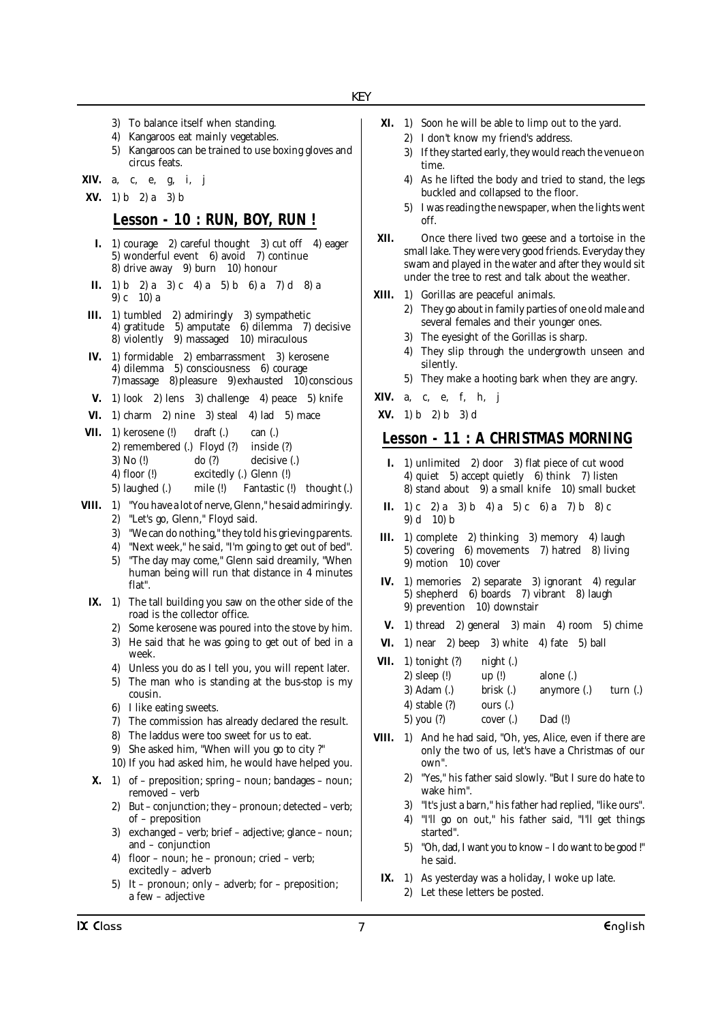- 3) To balance itself when standing.
- 4) Kangaroos eat mainly vegetables.
- 5) Kangaroos can be trained to use boxing gloves and circus feats.
- **XIV.** a, c, e, g, i, j
- **XV.** 1) b 2) a 3) b

## **Lesson - 10 : RUN, BOY, RUN !**

- **I.** 1) courage 2) careful thought 3) cut off 4) eager 5) wonderful event 6) avoid 7) continue 8) drive away 9) burn 10) honour
- **II.** 1) b 2) a 3) c 4) a 5) b 6) a 7) d 8) a 9) c 10) a
- **III.** 1) tumbled 2) admiringly 3) sympathetic 4) gratitude  $5$ ) amputate 8) violently 9) massaged 10) miraculous
- **IV.** 1) formidable 2) embarrassment 3) kerosene 4) dilemma 5) consciousness 6) courage  $7)$  massage  $8)$  pleasure  $9)$  exhausted  $10)$  conscious
- **V.** 1) look 2) lens 3) challenge 4) peace 5) knife
- **VI.** 1) charm 2) nine 3) steal 4) lad 5) mace
- **VII.** 1) kerosene (!) draft (.) can (.) 2) remembered (.) Floyd (?) inside (?) 3) No (!) do (?) decisive (.) 4) floor (!) excitedly (.) Glenn (!) 5) laughed (.) mile (!) Fantastic (!) thought (.)
- 
- **VIII.** 1) "You have a lot of nerve, Glenn," he said admiringly.
	- 2) "Let's go, Glenn," Floyd said.
	- 3) "We can do nothing," they told his grieving parents.
	- 4) "Next week," he said, "I'm going to get out of bed".
	- 5) "The day may come," Glenn said dreamily, "When human being will run that distance in 4 minutes flat".
- **IX.** 1) The tall building you saw on the other side of the road is the collector office.
	- 2) Some kerosene was poured into the stove by him.
	- 3) He said that he was going to get out of bed in a week.
	- 4) Unless you do as I tell you, you will repent later.
	- 5) The man who is standing at the bus-stop is my cousin.
	- 6) I like eating sweets.
	- 7) The commission has already declared the result.
	- 8) The laddus were too sweet for us to eat.
	- 9) She asked him, "When will you go to city ?"
	- 10) If you had asked him, he would have helped you.
- **X.** 1) of preposition; spring noun; bandages noun; removed – verb
	- 2) But conjunction; they pronoun; detected verb; of – preposition
	- 3) exchanged verb; brief adjective; glance noun; and – conjunction
	- 4) floor noun; he pronoun; cried verb; excitedly – adverb
	- 5) It pronoun; only adverb; for preposition; a few – adjective
- **XI.** 1) Soon he will be able to limp out to the yard.
	- 2) I don't know my friend's address.
	- 3) If they started early, they would reach the venue on time.
	- 4) As he lifted the body and tried to stand, the legs buckled and collapsed to the floor.
	- 5) I was reading the newspaper, when the lights went off.
- **XII.** Once there lived two geese and a tortoise in the small lake. They were very good friends. Everyday they swam and played in the water and after they would sit under the tree to rest and talk about the weather.
- **XIII.** 1) Gorillas are peaceful animals.
	- 2) They go about in family parties of one old male and several females and their younger ones.
	- 3) The eyesight of the Gorillas is sharp.
	- 4) They slip through the undergrowth unseen and silently.
	- 5) They make a hooting bark when they are angry.
- **XIV.** a, c, e, f, h, j
- **XV.** 1) b 2) b 3) d

## **Lesson - 11 : A CHRISTMAS MORNING**

- **I.** 1) unlimited 2) door 3) flat piece of cut wood 4) quiet 5) accept quietly 6) think 7) listen 8) stand about 9) a small knife 10) small bucket
- **II.** 1) c 2) a 3) b 4) a 5) c 6) a 7) b 8) c 9) d 10) b
- **III.** 1) complete 2) thinking 3) memory 4) laugh 5) covering 6) movements 7) hatred 8) living 9) motion  $10$ ) cover
- **IV.** 1) memories 2) separate 3) ignorant 4) regular 5) shepherd 6) boards 7) vibrant 8) laugh 9) prevention 10) downstair
- **V.** 1) thread 2) general 3) main 4) room 5) chime
- **VI.** 1) near 2) beep 3) white 4) fate 5) ball
- **VII.** 1) tonight  $(?)$  night  $(.)$ 
	- 2) sleep (!) up (!) alone (.)
	- 3) Adam (.) brisk (.) anymore (.) turn (.)
	- 4) stable (?) ours (.)
	- 5) you (?) cover (.) Dad (!)
- **VIII.** 1) And he had said, "Oh, yes, Alice, even if there are only the two of us, let's have a Christmas of our own".
	- 2) "Yes," his father said slowly. "But I sure do hate to wake him".
	- 3) "It's just a barn," his father had replied, "like ours".
	- 4) "I'll go on out," his father said, "I'll get things started".
	- 5) "Oh, dad, I want you to know I do want to be good !" he said.
	- **IX.** 1) As yesterday was a holiday, I woke up late.
		- 2) Let these letters be posted.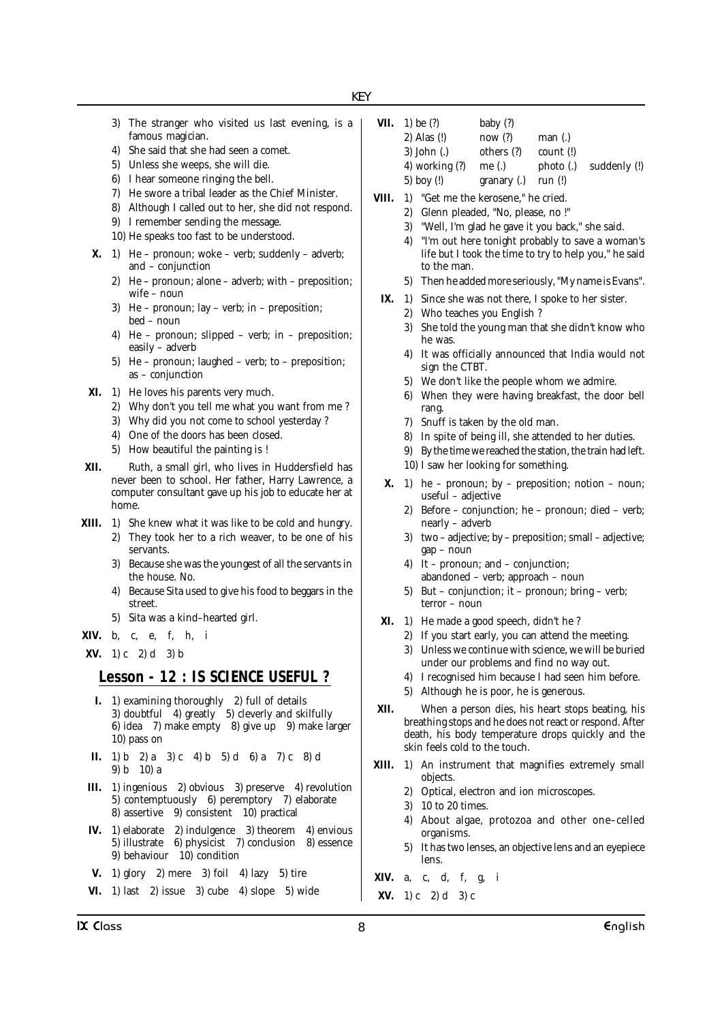- 3) The stranger who visited us last evening, is a famous magician.
- 4) She said that she had seen a comet.
- 5) Unless she weeps, she will die.
- 6) I hear someone ringing the bell.
- 7) He swore a tribal leader as the Chief Minister.
- 8) Although I called out to her, she did not respond.
- 9) I remember sending the message.
- 10) He speaks too fast to be understood.
- **X.** 1) He pronoun; woke verb; suddenly adverb; and – conjunction
	- 2) He pronoun; alone adverb; with preposition; wife – noun
	- 3) He pronoun; lay verb; in preposition; bed – noun
	- 4) He pronoun; slipped verb; in preposition; easily – adverb
	- 5) He pronoun; laughed verb; to preposition; as – conjunction
- **XI.** 1) He loves his parents very much.
	- 2) Why don't you tell me what you want from me ?
	- 3) Why did you not come to school yesterday ?
	- 4) One of the doors has been closed.
	- 5) How beautiful the painting is !
- **XII.** Ruth, a small girl, who lives in Huddersfield has never been to school. Her father, Harry Lawrence, a computer consultant gave up his job to educate her at home.
- **XIII.** 1) She knew what it was like to be cold and hungry.
	- 2) They took her to a rich weaver, to be one of his servants.
	- 3) Because she was the youngest of all the servants in the house. No.
	- 4) Because Sita used to give his food to beggars in the street.
	- 5) Sita was a kind–hearted girl.
- **XIV.** b, c, e, f, h, i

**XV.** 1) c 2) d 3) b

## **Lesson - 12 : IS SCIENCE USEFUL ?**

- **I.** 1) examining thoroughly 2) full of details 3) doubtful 4) greatly 5) cleverly and skilfully 6) idea 7) make empty 8) give up 9) make larger 10) pass on
- **II.** 1) b 2) a 3) c 4) b 5) d 6) a 7) c 8) d 9) b 10) a
- **III.** 1) ingenious 2) obvious 3) preserve 4) revolution 5) contemptuously 6) peremptory 7) elaborate 8) assertive 9) consistent 10) practical
- **IV.** 1) elaborate 2) indulgence 3) theorem 4) envious 5) illustrate 6) physicist 7) conclusion 8) essence 9) behaviour 10) condition
- **V.** 1) glory 2) mere 3) foil 4) lazy 5) tire
- **VI.** 1) last 2) issue 3) cube 4) slope 5) wide
- **VII.** 1) be (?) baby (?) 2) Alas (!) now (?) man (.) 3) John (.) others (?) count (!) 4) working (?) me (.) photo (.) suddenly (!) 5) boy (!) granary (.) run (!)
- **VIII.** 1) "Get me the kerosene," he cried.
	- 2) Glenn pleaded, "No, please, no !"
	- 3) "Well, I'm glad he gave it you back," she said.
	- 4) "I'm out here tonight probably to save a woman's life but I took the time to try to help you," he said to the man.
	- 5) Then he added more seriously, "My name is Evans".
	- **IX.** 1) Since she was not there, I spoke to her sister.
		- 2) Who teaches you English ?
		- 3) She told the young man that she didn't know who he was.
		- 4) It was officially announced that India would not sign the CTBT.
		- 5) We don't like the people whom we admire.
		- 6) When they were having breakfast, the door bell rang.
		- 7) Snuff is taken by the old man.
		- 8) In spite of being ill, she attended to her duties.
		- 9) By the time we reached the station, the train had left.
		- 10) I saw her looking for something.
	- **X.** 1) he pronoun; by preposition; notion noun; useful – adjective
		- 2) Before conjunction; he pronoun; died verb; nearly – adverb
		- 3) two adjective; by preposition; small adjective; gap – noun
		- 4) It pronoun; and conjunction; abandoned – verb; approach – noun
		- 5) But conjunction; it pronoun; bring verb; terror – noun
- **XI.** 1) He made a good speech, didn't he ?
	- 2) If you start early, you can attend the meeting.
	- 3) Unless we continue with science, we will be buried under our problems and find no way out.
	- 4) I recognised him because I had seen him before.
	- 5) Although he is poor, he is generous.
- **XII.** When a person dies, his heart stops beating, his breathing stops and he does not react or respond. After death, his body temperature drops quickly and the skin feels cold to the touch.
- **XIII.** 1) An instrument that magnifies extremely small objects.
	- 2) Optical, electron and ion microscopes.
	- 3) 10 to 20 times.
	- 4) About algae, protozoa and other one–celled organisms.
	- 5) It has two lenses, an objective lens and an eyepiece lens.
- **XIV.** a, c, d, f, g, i
- **XV.** 1) c 2) d 3) c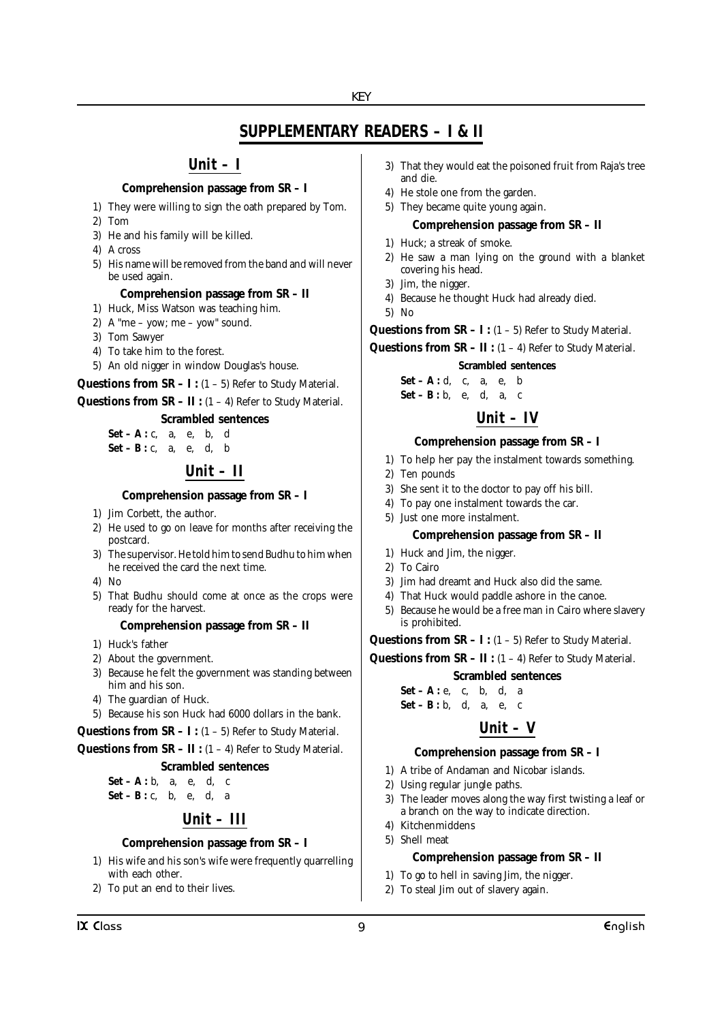# **SUPPLEMENTARY READERS – I & II**

## **Unit – I**

## **Comprehension passage from SR – I**

1) They were willing to sign the oath prepared by Tom.

- 2) Tom
- 3) He and his family will be killed.
- 4) A cross
- 5) His name will be removed from the band and will never be used again.

#### **Comprehension passage from SR – II**

- 1) Huck, Miss Watson was teaching him.
- 2) A "me yow; me yow" sound.
- 3) Tom Sawyer
- 4) To take him to the forest.
- 5) An old nigger in window Douglas's house.

**Questions from SR – I :**  $(1 - 5)$  Refer to Study Material.

**Questions from SR – II :** (1 – 4) Refer to Study Material.

#### **Scrambled sentences**

 $Set - A : c, a, e, b, d$ **Set** – **B** : **c**, a, e, d, b

# **Unit – II**

#### **Comprehension passage from SR – I**

- 1) Jim Corbett, the author.
- 2) He used to go on leave for months after receiving the postcard.
- 3) The supervisor. He told him to send Budhu to him when he received the card the next time.
- $4)$  No
- 5) That Budhu should come at once as the crops were ready for the harvest.

#### **Comprehension passage from SR – II**

- 1) Huck's father
- 2) About the government.
- 3) Because he felt the government was standing between him and his son.
- 4) The guardian of Huck.
- 5) Because his son Huck had 6000 dollars in the bank.

**Questions from SR – I :** (1 – 5) Refer to Study Material.

**Questions from SR – II :** (1 – 4) Refer to Study Material.

#### **Scrambled sentences**

**Set** – **A** : **b**, **a**, **e**, **d**, **c Set – B :** c, b, e, d, a

# **Unit – III**

## **Comprehension passage from SR – I**

- 1) His wife and his son's wife were frequently quarrelling with each other.
- 2) To put an end to their lives.
- 3) That they would eat the poisoned fruit from Raja's tree and die.
- 4) He stole one from the garden.
- 5) They became quite young again.

#### **Comprehension passage from SR – II**

- 1) Huck; a streak of smoke.
- 2) He saw a man lying on the ground with a blanket covering his head.
- 3) Jim, the nigger.
- 4) Because he thought Huck had already died.
- 5) No

**Questions from SR – I :**  $(1 - 5)$  Refer to Study Material.

**Questions from**  $SR - II$ **:**  $(1 - 4)$  Refer to Study Material.

#### **Scrambled sentences**

**Set** – **A** : **d**, **c**, **a**, **e**, **b Set** – **B** : **b**, e, **d**, **a**, **c** 

# **Unit – IV**

#### **Comprehension passage from SR – I**

- 1) To help her pay the instalment towards something.
- 2) Ten pounds
- 3) She sent it to the doctor to pay off his bill.
- 4) To pay one instalment towards the car.
- 5) Just one more instalment.

#### **Comprehension passage from SR – II**

- 1) Huck and Jim, the nigger.
- 2) To Cairo
- 3) Jim had dreamt and Huck also did the same.
- 4) That Huck would paddle ashore in the canoe.
- 5) Because he would be a free man in Cairo where slavery is prohibited.

**Questions from**  $SR - I$ **:**  $(1 - 5)$  Refer to Study Material.

**Questions from SR – II :** (1 – 4) Refer to Study Material.

**Scrambled sentences**

**Set – A :** e, c, b, d, a **Set – B :** b, d, a, e, c

# **Unit – V**

#### **Comprehension passage from SR – I**

- 1) A tribe of Andaman and Nicobar islands.
- 2) Using regular jungle paths.
- 3) The leader moves along the way first twisting a leaf or a branch on the way to indicate direction.
- 4) Kitchenmiddens
- 5) Shell meat

#### **Comprehension passage from SR – II**

- 1) To go to hell in saving Jim, the nigger.
- 2) To steal Jim out of slavery again.